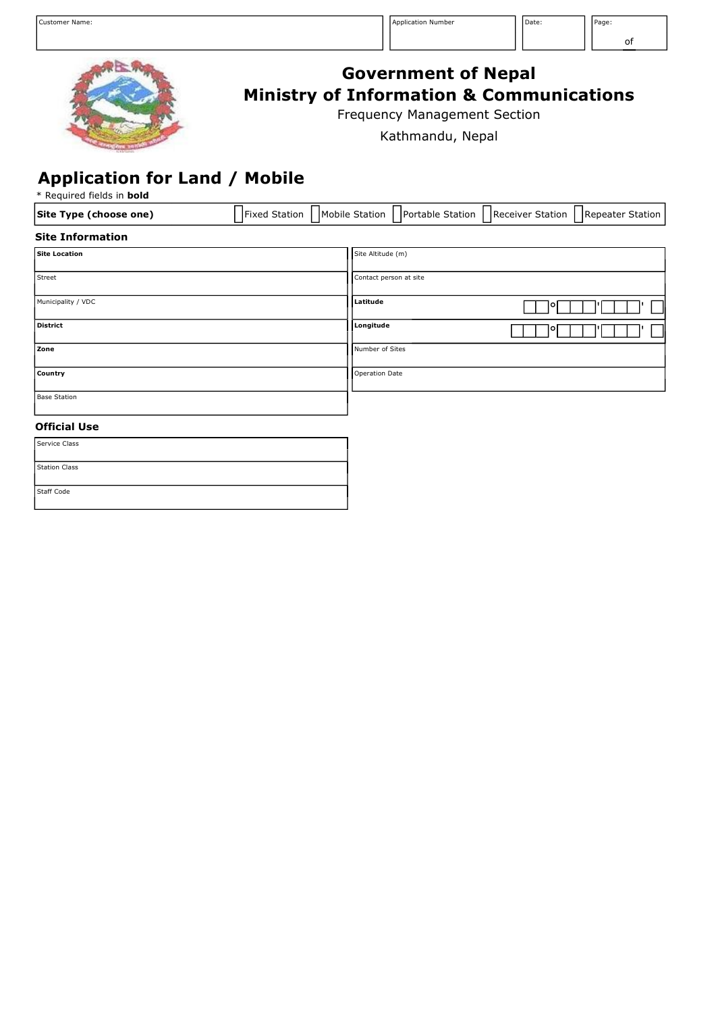

# **Government of Nepal Ministry of Information & Communications**

Frequency Management Section

Kathmandu, Nepal

### **Application for Land / Mobile**

\* Required fields in **bold**

| Site Type (choose one)  | Fixed Station    Mobile Station    Portable Station    Receiver Station    Repeater Station |  |
|-------------------------|---------------------------------------------------------------------------------------------|--|
| <b>Site Information</b> |                                                                                             |  |
| <b>Site Location</b>    | Site Altitude (m)                                                                           |  |
|                         |                                                                                             |  |
| <b>Street</b>           | Contact person at site                                                                      |  |

| $-$                 | soncace person ac orce |     |
|---------------------|------------------------|-----|
| Municipality / VDC  | Latitude               | 101 |
| <b>District</b>     | Longitude              | 101 |
| Zone                | Number of Sites        |     |
| Country             | <b>Operation Date</b>  |     |
| <b>Base Station</b> |                        |     |
|                     |                        |     |

#### **Official Use**

| Service Class        |  |
|----------------------|--|
| <b>Station Class</b> |  |
| <b>Staff Code</b>    |  |